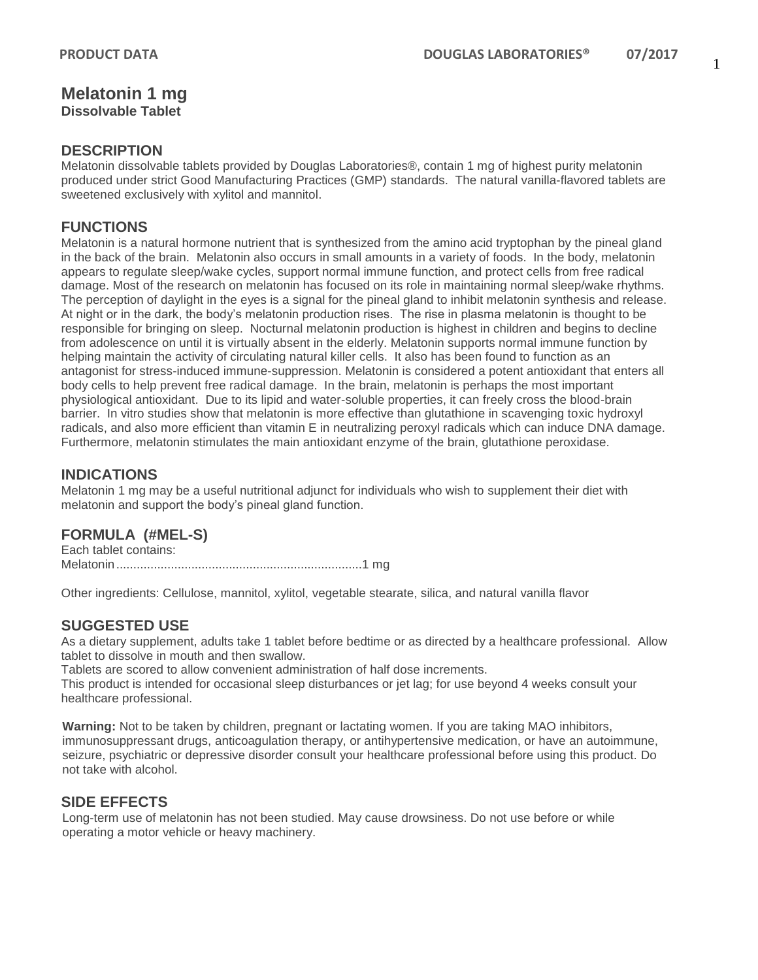### 1

#### **Melatonin 1 mg Dissolvable Tablet**

## **DESCRIPTION**

Melatonin dissolvable tablets provided by Douglas Laboratories®, contain 1 mg of highest purity melatonin produced under strict Good Manufacturing Practices (GMP) standards. The natural vanilla-flavored tablets are sweetened exclusively with xylitol and mannitol.

# **FUNCTIONS**

Melatonin is a natural hormone nutrient that is synthesized from the amino acid tryptophan by the pineal gland in the back of the brain. Melatonin also occurs in small amounts in a variety of foods. In the body, melatonin appears to regulate sleep/wake cycles, support normal immune function, and protect cells from free radical damage. Most of the research on melatonin has focused on its role in maintaining normal sleep/wake rhythms. The perception of daylight in the eyes is a signal for the pineal gland to inhibit melatonin synthesis and release. At night or in the dark, the body's melatonin production rises. The rise in plasma melatonin is thought to be responsible for bringing on sleep. Nocturnal melatonin production is highest in children and begins to decline from adolescence on until it is virtually absent in the elderly. Melatonin supports normal immune function by helping maintain the activity of circulating natural killer cells. It also has been found to function as an antagonist for stress-induced immune-suppression. Melatonin is considered a potent antioxidant that enters all body cells to help prevent free radical damage. In the brain, melatonin is perhaps the most important physiological antioxidant. Due to its lipid and water-soluble properties, it can freely cross the blood-brain barrier. In vitro studies show that melatonin is more effective than glutathione in scavenging toxic hydroxyl radicals, and also more efficient than vitamin E in neutralizing peroxyl radicals which can induce DNA damage. Furthermore, melatonin stimulates the main antioxidant enzyme of the brain, glutathione peroxidase.

## **INDICATIONS**

Melatonin 1 mg may be a useful nutritional adjunct for individuals who wish to supplement their diet with melatonin and support the body's pineal gland function.

## **FORMULA (#MEL-S)**

Each tablet contains: Melatonin........................................................................1 mg

Other ingredients: Cellulose, mannitol, xylitol, vegetable stearate, silica, and natural vanilla flavor

## **SUGGESTED USE**

As a dietary supplement, adults take 1 tablet before bedtime or as directed by a healthcare professional. Allow tablet to dissolve in mouth and then swallow.

Tablets are scored to allow convenient administration of half dose increments.

This product is intended for occasional sleep disturbances or jet lag; for use beyond 4 weeks consult your healthcare professional.

**Warning:** Not to be taken by children, pregnant or lactating women. If you are taking MAO inhibitors, immunosuppressant drugs, anticoagulation therapy, or antihypertensive medication, or have an autoimmune, seizure, psychiatric or depressive disorder consult your healthcare professional before using this product. Do not take with alcohol.

## **SIDE EFFECTS**

Long-term use of melatonin has not been studied. May cause drowsiness. Do not use before or while operating a motor vehicle or heavy machinery.